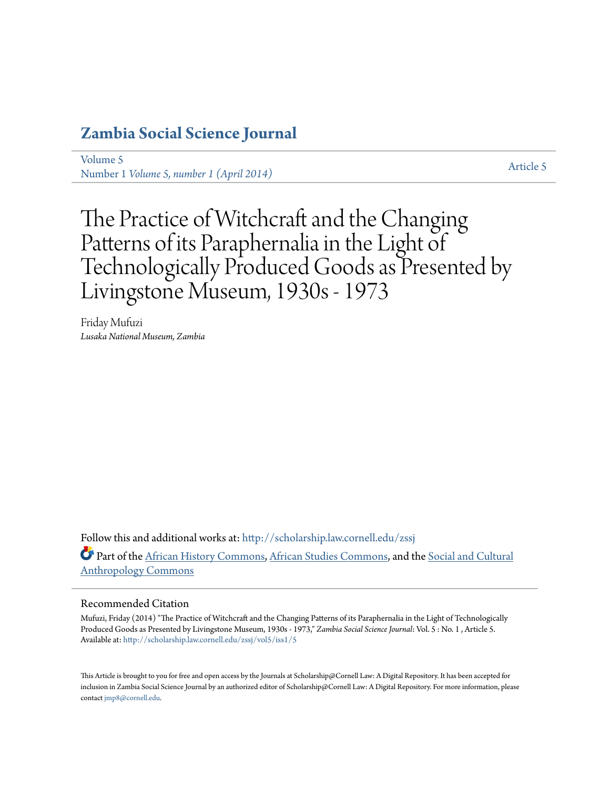# **[Zambia Social Science Journal](http://scholarship.law.cornell.edu/zssj?utm_source=scholarship.law.cornell.edu%2Fzssj%2Fvol5%2Fiss1%2F5&utm_medium=PDF&utm_campaign=PDFCoverPages)**

[Volume 5](http://scholarship.law.cornell.edu/zssj/vol5?utm_source=scholarship.law.cornell.edu%2Fzssj%2Fvol5%2Fiss1%2F5&utm_medium=PDF&utm_campaign=PDFCoverPages) volume 5<br>Number 1 *[Volume 5, number 1 \(April 2014\)](http://scholarship.law.cornell.edu/zssj/vol5/iss1?utm_source=scholarship.law.cornell.edu%2Fzssj%2Fvol5%2Fiss1%2F5&utm_medium=PDF&utm_campaign=PDFCoverPages)* [Article 5](http://scholarship.law.cornell.edu/zssj/vol5/iss1/5?utm_source=scholarship.law.cornell.edu%2Fzssj%2Fvol5%2Fiss1%2F5&utm_medium=PDF&utm_campaign=PDFCoverPages)

The Practice of Witchcraft and the Changing Patterns of its Paraphernalia in the Light of Technologically Produced Goods as Presented by Livingstone Museum, 1930s - 1973

Friday Mufuzi *Lusaka National Museum, Zambia*

Follow this and additional works at: [http://scholarship.law.cornell.edu/zssj](http://scholarship.law.cornell.edu/zssj?utm_source=scholarship.law.cornell.edu%2Fzssj%2Fvol5%2Fiss1%2F5&utm_medium=PDF&utm_campaign=PDFCoverPages) Part of the [African History Commons,](http://network.bepress.com/hgg/discipline/490?utm_source=scholarship.law.cornell.edu%2Fzssj%2Fvol5%2Fiss1%2F5&utm_medium=PDF&utm_campaign=PDFCoverPages) [African Studies Commons](http://network.bepress.com/hgg/discipline/1043?utm_source=scholarship.law.cornell.edu%2Fzssj%2Fvol5%2Fiss1%2F5&utm_medium=PDF&utm_campaign=PDFCoverPages), and the [Social and Cultural](http://network.bepress.com/hgg/discipline/323?utm_source=scholarship.law.cornell.edu%2Fzssj%2Fvol5%2Fiss1%2F5&utm_medium=PDF&utm_campaign=PDFCoverPages) [Anthropology Commons](http://network.bepress.com/hgg/discipline/323?utm_source=scholarship.law.cornell.edu%2Fzssj%2Fvol5%2Fiss1%2F5&utm_medium=PDF&utm_campaign=PDFCoverPages)

#### Recommended Citation

Mufuzi, Friday (2014) "The Practice of Witchcraft and the Changing Patterns of its Paraphernalia in the Light of Technologically Produced Goods as Presented by Livingstone Museum, 1930s - 1973," *Zambia Social Science Journal*: Vol. 5 : No. 1 , Article 5. Available at: [http://scholarship.law.cornell.edu/zssj/vol5/iss1/5](http://scholarship.law.cornell.edu/zssj/vol5/iss1/5?utm_source=scholarship.law.cornell.edu%2Fzssj%2Fvol5%2Fiss1%2F5&utm_medium=PDF&utm_campaign=PDFCoverPages)

This Article is brought to you for free and open access by the Journals at Scholarship@Cornell Law: A Digital Repository. It has been accepted for inclusion in Zambia Social Science Journal by an authorized editor of Scholarship@Cornell Law: A Digital Repository. For more information, please contact [jmp8@cornell.edu.](mailto:jmp8@cornell.edu)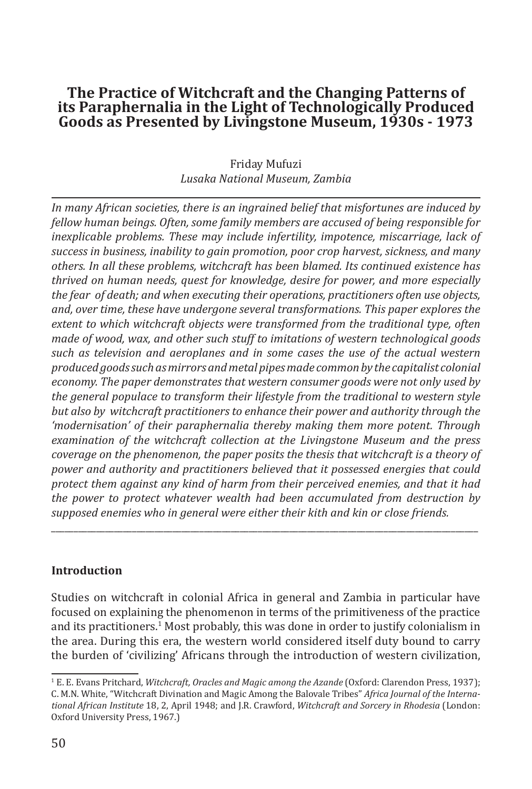## Friday Mufuzi *Lusaka National Museum, Zambia*

*In many African societies, there is an ingrained belief that misfortunes are induced by fellow human beings. Often, some family members are accused of being responsible for inexplicable problems. These may include infertility, impotence, miscarriage, lack of success in business, inability to gain promotion, poor crop harvest, sickness, and many others. In all these problems, witchcraft has been blamed. Its continued existence has thrived on human needs, quest for knowledge, desire for power, and more especially the fear of death; and when executing their operations, practitioners often use objects, and, over time, these have undergone several transformations. This paper explores the extent to which witchcraft objects were transformed from the traditional type, often made of wood, wax, and other such stuff to imitations of western technological goods such as television and aeroplanes and in some cases the use of the actual western produced goods such as mirrors and metal pipes made common by the capitalist colonial economy. The paper demonstrates that western consumer goods were not only used by the general populace to transform their lifestyle from the traditional to western style but also by witchcraft practitioners to enhance their power and authority through the 'modernisation' of their paraphernalia thereby making them more potent. Through examination of the witchcraft collection at the Livingstone Museum and the press coverage on the phenomenon, the paper posits the thesis that witchcraft is a theory of power and authority and practitioners believed that it possessed energies that could protect them against any kind of harm from their perceived enemies, and that it had the power to protect whatever wealth had been accumulated from destruction by supposed enemies who in general were either their kith and kin or close friends.* 

## **Introduction**

Studies on witchcraft in colonial Africa in general and Zambia in particular have focused on explaining the phenomenon in terms of the primitiveness of the practice and its practitioners.<sup>1</sup> Most probably, this was done in order to justify colonialism in the area. During this era, the western world considered itself duty bound to carry the burden of 'civilizing' Africans through the introduction of western civilization,

\_\_\_\_\_\_\_\_\_\_\_\_\_\_\_\_\_\_\_\_\_\_\_\_\_\_\_\_\_\_\_\_\_\_\_\_\_\_\_\_\_\_\_\_\_\_\_\_\_\_\_\_\_\_\_\_\_\_\_\_\_\_\_\_\_\_\_\_\_\_\_\_\_\_\_\_\_\_\_\_\_\_\_\_\_\_\_\_\_\_\_\_\_\_\_

<sup>1</sup> E. E. Evans Pritchard, *Witchcraft, Oracles and Magic among the Azande* (Oxford: Clarendon Press, 1937); C. M.N. White, "Witchcraft Divination and Magic Among the Balovale Tribes" *Africa Journal of the International African Institute* 18, 2, April 1948; and J.R. Crawford, *Witchcraft and Sorcery in Rhodesia* (London: Oxford University Press, 1967.)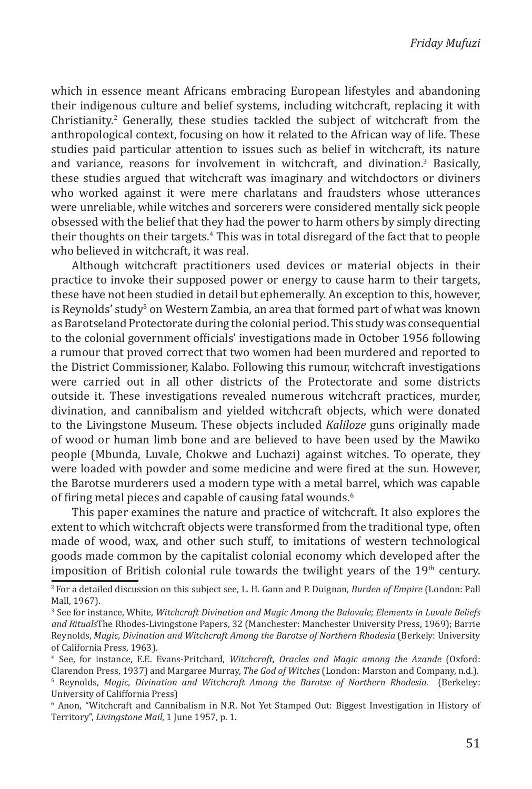which in essence meant Africans embracing European lifestyles and abandoning their indigenous culture and belief systems, including witchcraft, replacing it with  $Christianity<sup>2</sup>$  Generally, these studies tackled the subject of witchcraft from the anthropological context, focusing on how it related to the African way of life. These studies paid particular attention to issues such as belief in witchcraft, its nature and variance, reasons for involvement in witchcraft, and divination.<sup>3</sup> Basically, these studies argued that witchcraft was imaginary and witchdoctors or diviners who worked against it were mere charlatans and fraudsters whose utterances were unreliable, while witches and sorcerers were considered mentally sick people obsessed with the belief that they had the power to harm others by simply directing their thoughts on their targets.<sup>4</sup> This was in total disregard of the fact that to people who believed in witchcraft, it was real.

Although witchcraft practitioners used devices or material objects in their practice to invoke their supposed power or energy to cause harm to their targets, these have not been studied in detail but ephemerally. An exception to this, however, is Reynolds' study<sup>s</sup> on Western Zambia, an area that formed part of what was known as Barotseland Protectorate during the colonial period. This study was consequential to the colonial government officials' investigations made in October 1956 following a rumour that proved correct that two women had been murdered and reported to the District Commissioner, Kalabo. Following this rumour, witchcraft investigations were carried out in all other districts of the Protectorate and some districts outside it. These investigations revealed numerous witchcraft practices, murder, divination, and cannibalism and yielded witchcraft objects, which were donated to the Livingstone Museum. These objects included *Kaliloze* guns originally made of wood or human limb bone and are believed to have been used by the Mawiko people (Mbunda, Luvale, Chokwe and Luchazi) against witches. To operate, they were loaded with powder and some medicine and were fired at the sun. However, the Barotse murderers used a modern type with a metal barrel, which was capable of firing metal pieces and capable of causing fatal wounds.<sup>6</sup>

This paper examines the nature and practice of witchcraft. It also explores the extent to which witchcraft objects were transformed from the traditional type, often made of wood, wax, and other such stuff, to imitations of western technological goods made common by the capitalist colonial economy which developed after the imposition of British colonial rule towards the twilight years of the  $19<sup>th</sup>$  century.

<sup>2</sup> For a detailed discussion on this subject see, L. H. Gann and P. Duignan, *Burden of Empire* (London: Pall Mall, 1967).

<sup>3</sup> See for instance, White, *Witchcraft Divination and Magic Among the Balovale; Elements in Luvale Beliefs and Rituals*The Rhodes-Livingstone Papers, 32 (Manchester: Manchester University Press, 1969); Barrie Reynolds, *Magic, Divination and Witchcraft Among the Barotse of Northern Rhodesia* (Berkely: University of California Press, 1963).

<sup>4</sup> See, for instance, E.E. Evans-Pritchard, *Witchcraft, Oracles and Magic among the Azande* (Oxford: Clarendon Press, 1937) and Margaree Murray, *The God of Witches* (London: Marston and Company, n.d.). 5 Reynolds, *Magic, Divination and Witchcraft Among the Barotse of Northern Rhodesia.* (Berkeley: University of Califfornia Press)

<sup>6</sup> Anon, "Witchcraft and Cannibalism in N.R. Not Yet Stamped Out: Biggest Investigation in History of Territory", *Livingstone Mail*, 1 June 1957, p. 1.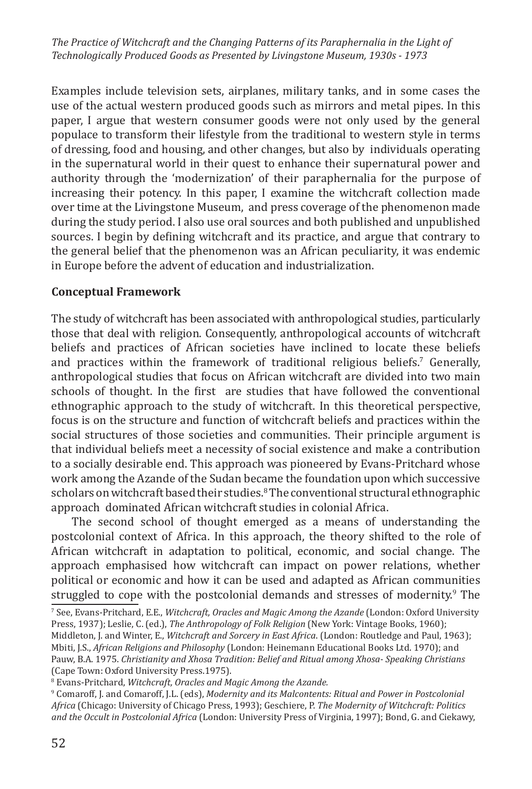Examples include television sets, airplanes, military tanks, and in some cases the use of the actual western produced goods such as mirrors and metal pipes. In this paper, I argue that western consumer goods were not only used by the general populace to transform their lifestyle from the traditional to western style in terms of dressing, food and housing, and other changes, but also by individuals operating in the supernatural world in their quest to enhance their supernatural power and authority through the 'modernization' of their paraphernalia for the purpose of increasing their potency. In this paper, I examine the witchcraft collection made over time at the Livingstone Museum, and press coverage of the phenomenon made during the study period. I also use oral sources and both published and unpublished sources. I begin by defining witchcraft and its practice, and argue that contrary to the general belief that the phenomenon was an African peculiarity, it was endemic in Europe before the advent of education and industrialization.

## **Conceptual Framework**

The study of witchcraft has been associated with anthropological studies, particularly those that deal with religion. Consequently, anthropological accounts of witchcraft beliefs and practices of African societies have inclined to locate these beliefs and practices within the framework of traditional religious beliefs.<sup>7</sup> Generally, anthropological studies that focus on African witchcraft are divided into two main schools of thought. In the first are studies that have followed the conventional ethnographic approach to the study of witchcraft. In this theoretical perspective, focus is on the structure and function of witchcraft beliefs and practices within the social structures of those societies and communities. Their principle argument is that individual beliefs meet a necessity of social existence and make a contribution to a socially desirable end. This approach was pioneered by Evans-Pritchard whose work among the Azande of the Sudan became the foundation upon which successive scholars on witchcraft based their studies.<sup>8</sup> The conventional structural ethnographic approach dominated African witchcraft studies in colonial Africa.

The second school of thought emerged as a means of understanding the postcolonial context of Africa. In this approach, the theory shifted to the role of African witchcraft in adaptation to political, economic, and social change. The approach emphasised how witchcraft can impact on power relations, whether political or economic and how it can be used and adapted as African communities struggled to cope with the postcolonial demands and stresses of modernity.<sup>9</sup> The

7 See, Evans-Pritchard, E.E., *Witchcraft, Oracles and Magic Among the Azande* (London: Oxford University Press, 1937); Leslie, C. (ed.), *The Anthropology of Folk Religion* (New York: Vintage Books, 1960); Middleton, J. and Winter, E., *Witchcraft and Sorcery in East Africa*. (London: Routledge and Paul, 1963); Mbiti, J.S., *African Religions and Philosophy* (London: Heinemann Educational Books Ltd. 1970); and Pauw, B.A. 1975. *Christianity and Xhosa Tradition: Belief and Ritual among Xhosa- Speaking Christians* (Cape Town: Oxford University Press.1975).

<sup>8</sup> Evans-Pritchard, *Witchcraft, Oracles and Magic Among the Azande.*

<sup>9</sup> Comaroff, J. and Comaroff, J.L. (eds), *Modernity and its Malcontents: Ritual and Power in Postcolonial Africa* (Chicago: University of Chicago Press, 1993); Geschiere, P. *The Modernity of Witchcraft: Politics and the Occult in Postcolonial Africa* (London: University Press of Virginia, 1997); Bond, G. and Ciekawy,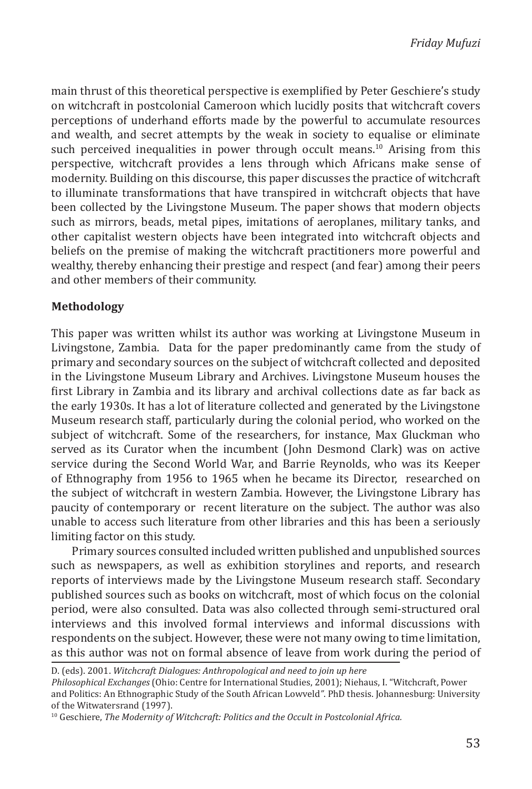main thrust of this theoretical perspective is exemplified by Peter Geschiere's study on witchcraft in postcolonial Cameroon which lucidly posits that witchcraft covers perceptions of underhand efforts made by the powerful to accumulate resources and wealth, and secret attempts by the weak in society to equalise or eliminate such perceived inequalities in power through occult means.<sup>10</sup> Arising from this perspective, witchcraft provides a lens through which Africans make sense of modernity. Building on this discourse, this paper discusses the practice of witchcraft to illuminate transformations that have transpired in witchcraft objects that have been collected by the Livingstone Museum. The paper shows that modern objects such as mirrors, beads, metal pipes, imitations of aeroplanes, military tanks, and other capitalist western objects have been integrated into witchcraft objects and beliefs on the premise of making the witchcraft practitioners more powerful and wealthy, thereby enhancing their prestige and respect (and fear) among their peers and other members of their community.

## **Methodology**

This paper was written whilst its author was working at Livingstone Museum in Livingstone, Zambia. Data for the paper predominantly came from the study of primary and secondary sources on the subject of witchcraft collected and deposited in the Livingstone Museum Library and Archives. Livingstone Museum houses the first Library in Zambia and its library and archival collections date as far back as the early 1930s. It has a lot of literature collected and generated by the Livingstone Museum research staff, particularly during the colonial period, who worked on the subject of witchcraft. Some of the researchers, for instance, Max Gluckman who served as its Curator when the incumbent (John Desmond Clark) was on active service during the Second World War, and Barrie Reynolds, who was its Keeper of Ethnography from 1956 to 1965 when he became its Director, researched on the subject of witchcraft in western Zambia. However, the Livingstone Library has paucity of contemporary or recent literature on the subject. The author was also unable to access such literature from other libraries and this has been a seriously limiting factor on this study.

Primary sources consulted included written published and unpublished sources such as newspapers, as well as exhibition storylines and reports, and research reports of interviews made by the Livingstone Museum research staff. Secondary published sources such as books on witchcraft, most of which focus on the colonial period, were also consulted. Data was also collected through semi-structured oral interviews and this involved formal interviews and informal discussions with respondents on the subject. However, these were not many owing to time limitation, as this author was not on formal absence of leave from work during the period of

D. (eds). 2001. *Witchcraft Dialogues: Anthropological and need to join up here*

*Philosophical Exchanges* (Ohio: Centre for International Studies, 2001); Niehaus, I. "Witchcraft, Power and Politics: An Ethnographic Study of the South African Lowveld*"*. PhD thesis. Johannesburg: University of the Witwatersrand (1997).

<sup>10</sup> Geschiere, *The Modernity of Witchcraft: Politics and the Occult in Postcolonial Africa.*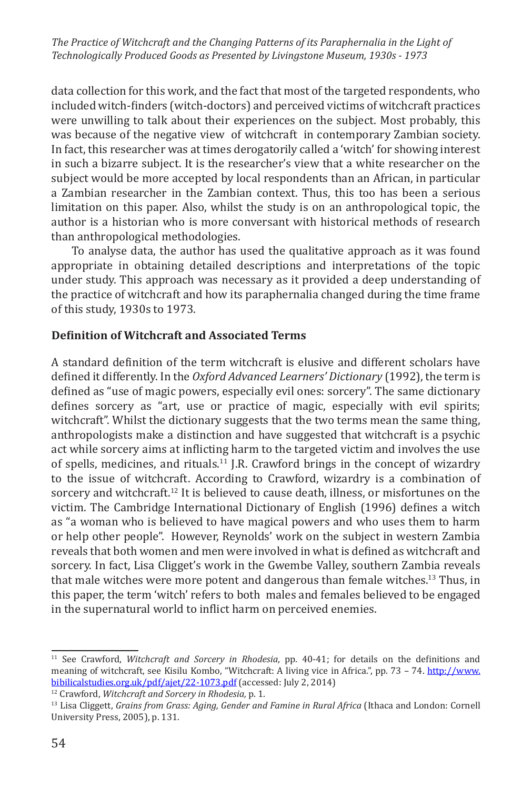data collection for this work, and the fact that most of the targeted respondents, who included witch-finders (witch-doctors) and perceived victims of witchcraft practices were unwilling to talk about their experiences on the subject. Most probably, this was because of the negative view of witchcraft in contemporary Zambian society. In fact, this researcher was at times derogatorily called a 'witch' for showing interest in such a bizarre subject. It is the researcher's view that a white researcher on the subject would be more accepted by local respondents than an African, in particular a Zambian researcher in the Zambian context. Thus, this too has been a serious limitation on this paper. Also, whilst the study is on an anthropological topic, the author is a historian who is more conversant with historical methods of research than anthropological methodologies.

To analyse data, the author has used the qualitative approach as it was found appropriate in obtaining detailed descriptions and interpretations of the topic under study. This approach was necessary as it provided a deep understanding of the practice of witchcraft and how its paraphernalia changed during the time frame of this study, 1930s to 1973.

#### **Definition of Witchcraft and Associated Terms**

A standard definition of the term witchcraft is elusive and different scholars have defined it differently. In the *Oxford Advanced Learners' Dictionary* (1992), the term is defined as "use of magic powers, especially evil ones: sorcery". The same dictionary defines sorcery as "art, use or practice of magic, especially with evil spirits; witchcraft". Whilst the dictionary suggests that the two terms mean the same thing, anthropologists make a distinction and have suggested that witchcraft is a psychic act while sorcery aims at inflicting harm to the targeted victim and involves the use of spells, medicines, and rituals.11 J.R. Crawford brings in the concept of wizardry to the issue of witchcraft. According to Crawford, wizardry is a combination of sorcery and witchcraft.<sup>12</sup> It is believed to cause death, illness, or misfortunes on the victim. The Cambridge International Dictionary of English (1996) defines a witch as "a woman who is believed to have magical powers and who uses them to harm or help other people". However, Reynolds' work on the subject in western Zambia reveals that both women and men were involved in what is defined as witchcraft and sorcery. In fact, Lisa Cligget's work in the Gwembe Valley, southern Zambia reveals that male witches were more potent and dangerous than female witches.<sup>13</sup> Thus, in this paper, the term 'witch' refers to both males and females believed to be engaged in the supernatural world to inflict harm on perceived enemies.

<sup>11</sup> See Crawford, *Witchcraft and Sorcery in Rhodesia*, pp. 40-41; for details on the definitions and meaning of witchcraft, see Kisilu Kombo, "Witchcraft: A living vice in Africa.", pp. 73 – 74. http://www. bibilicalstudies.org.uk/pdf/ajet/22-1073.pdf (accessed: July 2, 2014)

<sup>12</sup> Crawford, *Witchcraft and Sorcery in Rhodesia,* p. 1.

<sup>13</sup> Lisa Cliggett, *Grains from Grass: Aging, Gender and Famine in Rural Africa* (Ithaca and London: Cornell University Press, 2005), p. 131.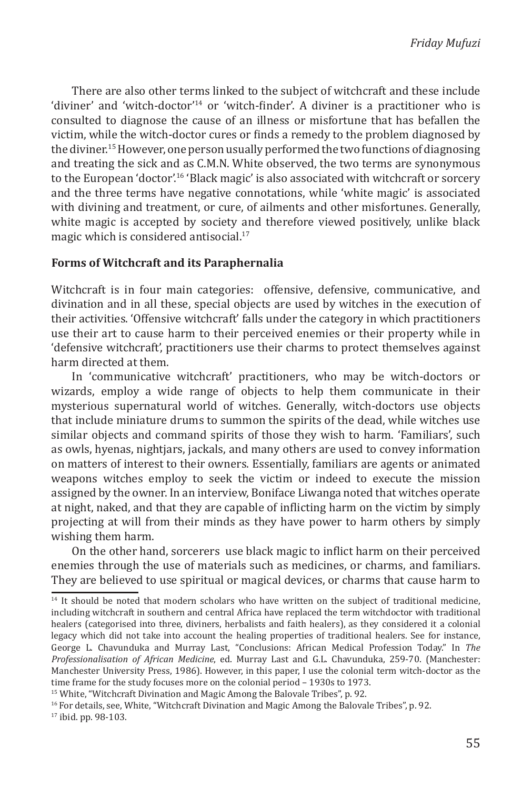There are also other terms linked to the subject of witchcraft and these include 'diviner' and 'witch-doctor'14 or 'witch-finder'. A diviner is a practitioner who is consulted to diagnose the cause of an illness or misfortune that has befallen the victim, while the witch-doctor cures or finds a remedy to the problem diagnosed by the diviner.15 However, one person usually performed the two functions of diagnosing and treating the sick and as C.M.N. White observed, the two terms are synonymous to the European 'doctor'.<sup>16</sup> 'Black magic' is also associated with witchcraft or sorcery and the three terms have negative connotations, while 'white magic' is associated with divining and treatment, or cure, of ailments and other misfortunes. Generally, white magic is accepted by society and therefore viewed positively, unlike black magic which is considered antisocial.<sup>17</sup>

#### **Forms of Witchcraft and its Paraphernalia**

Witchcraft is in four main categories: offensive, defensive, communicative, and divination and in all these, special objects are used by witches in the execution of their activities. 'Offensive witchcraft' falls under the category in which practitioners use their art to cause harm to their perceived enemies or their property while in 'defensive witchcraft', practitioners use their charms to protect themselves against harm directed at them.

In 'communicative witchcraft' practitioners, who may be witch-doctors or wizards, employ a wide range of objects to help them communicate in their mysterious supernatural world of witches. Generally, witch-doctors use objects that include miniature drums to summon the spirits of the dead, while witches use similar objects and command spirits of those they wish to harm. 'Familiars', such as owls, hyenas, nightjars, jackals, and many others are used to convey information on matters of interest to their owners. Essentially, familiars are agents or animated weapons witches employ to seek the victim or indeed to execute the mission assigned by the owner. In an interview, Boniface Liwanga noted that witches operate at night, naked, and that they are capable of inflicting harm on the victim by simply projecting at will from their minds as they have power to harm others by simply wishing them harm.

On the other hand, sorcerers use black magic to inflict harm on their perceived enemies through the use of materials such as medicines, or charms, and familiars. They are believed to use spiritual or magical devices, or charms that cause harm to

<sup>14</sup> It should be noted that modern scholars who have written on the subject of traditional medicine, including witchcraft in southern and central Africa have replaced the term witchdoctor with traditional healers (categorised into three, diviners, herbalists and faith healers), as they considered it a colonial legacy which did not take into account the healing properties of traditional healers. See for instance, George L. Chavunduka and Murray Last, "Conclusions: African Medical Profession Today." In *The Professionalisation of African Medicine*, ed. Murray Last and G.L. Chavunduka, 259-70. (Manchester: Manchester University Press, 1986). However, in this paper, I use the colonial term witch-doctor as the time frame for the study focuses more on the colonial period – 1930s to 1973.

<sup>&</sup>lt;sup>15</sup> White, "Witchcraft Divination and Magic Among the Balovale Tribes", p. 92.

<sup>&</sup>lt;sup>16</sup> For details, see, White, "Witchcraft Divination and Magic Among the Balovale Tribes", p. 92.

<sup>17</sup> ibid. pp. 98-103.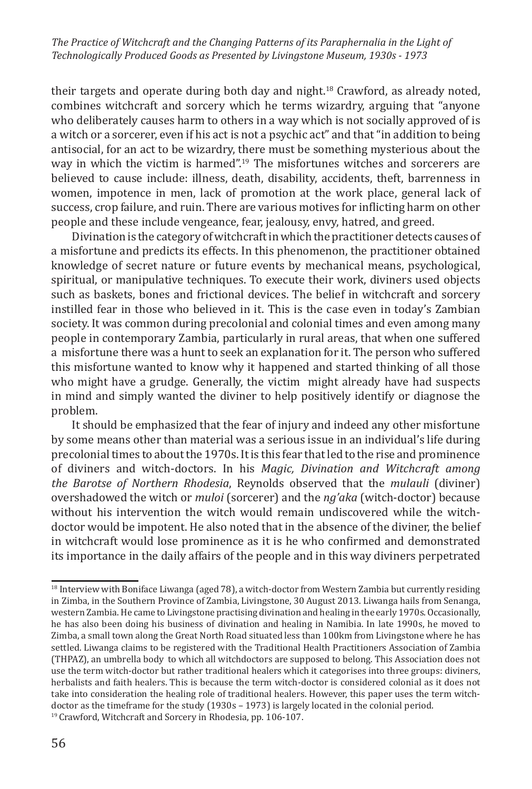their targets and operate during both day and night.<sup>18</sup> Crawford, as already noted, combines witchcraft and sorcery which he terms wizardry, arguing that "anyone who deliberately causes harm to others in a way which is not socially approved of is a witch or a sorcerer, even if his act is not a psychic act" and that "in addition to being antisocial, for an act to be wizardry, there must be something mysterious about the way in which the victim is harmed".19 The misfortunes witches and sorcerers are believed to cause include: illness, death, disability, accidents, theft, barrenness in women, impotence in men, lack of promotion at the work place, general lack of success, crop failure, and ruin. There are various motives for inflicting harm on other people and these include vengeance, fear, jealousy, envy, hatred, and greed.

Divination is the category of witchcraft in which the practitioner detects causes of a misfortune and predicts its effects. In this phenomenon, the practitioner obtained knowledge of secret nature or future events by mechanical means, psychological, spiritual, or manipulative techniques. To execute their work, diviners used objects such as baskets, bones and frictional devices. The belief in witchcraft and sorcery instilled fear in those who believed in it. This is the case even in today's Zambian society. It was common during precolonial and colonial times and even among many people in contemporary Zambia, particularly in rural areas, that when one suffered a misfortune there was a hunt to seek an explanation for it. The person who suffered this misfortune wanted to know why it happened and started thinking of all those who might have a grudge. Generally, the victim might already have had suspects in mind and simply wanted the diviner to help positively identify or diagnose the problem.

It should be emphasized that the fear of injury and indeed any other misfortune by some means other than material was a serious issue in an individual's life during precolonial times to about the 1970s. It is this fear that led to the rise and prominence of diviners and witch-doctors. In his *Magic, Divination and Witchcraft among the Barotse of Northern Rhodesia*, Reynolds observed that the *mulauli* (diviner) overshadowed the witch or *muloi* (sorcerer) and the *ng'aka* (witch-doctor) because without his intervention the witch would remain undiscovered while the witchdoctor would be impotent. He also noted that in the absence of the diviner, the belief in witchcraft would lose prominence as it is he who confirmed and demonstrated its importance in the daily affairs of the people and in this way diviners perpetrated

<sup>18</sup> Interview with Boniface Liwanga (aged 78), a witch-doctor from Western Zambia but currently residing in Zimba, in the Southern Province of Zambia, Livingstone, 30 August 2013. Liwanga hails from Senanga, western Zambia. He came to Livingstone practising divination and healing in the early 1970s. Occasionally, he has also been doing his business of divination and healing in Namibia. In late 1990s, he moved to Zimba, a small town along the Great North Road situated less than 100km from Livingstone where he has settled. Liwanga claims to be registered with the Traditional Health Practitioners Association of Zambia (THPAZ), an umbrella body to which all witchdoctors are supposed to belong. This Association does not use the term witch-doctor but rather traditional healers which it categorises into three groups: diviners, herbalists and faith healers. This is because the term witch-doctor is considered colonial as it does not take into consideration the healing role of traditional healers. However, this paper uses the term witchdoctor as the timeframe for the study (1930s – 1973) is largely located in the colonial period. <sup>19</sup> Crawford, Witchcraft and Sorcery in Rhodesia, pp. 106-107.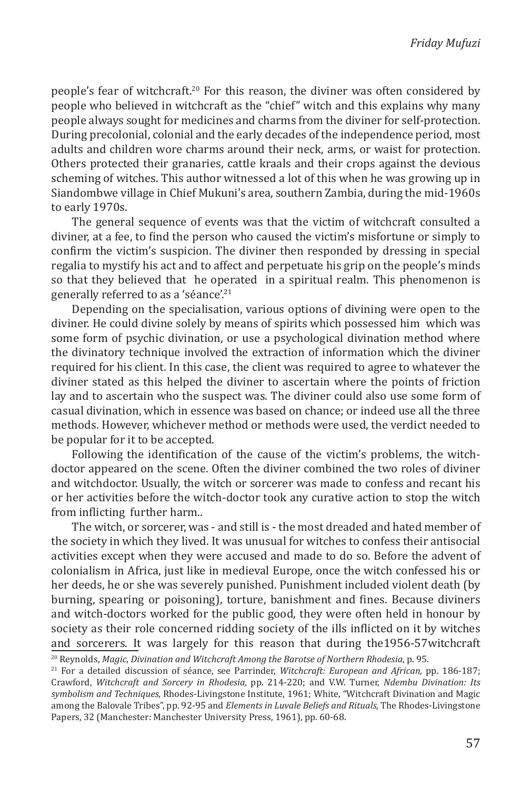people's fear of witchcraft.20 For this reason, the diviner was often considered by people who believed in witchcraft as the "chief" witch and this explains why many people always sought for medicines and charms from the diviner for self-protection. During precolonial, colonial and the early decades of the independence period, most adults and children wore charms around their neck, arms, or waist for protection. Others protected their granaries, cattle kraals and their crops against the devious scheming of witches. This author witnessed a lot of this when he was growing up in Siandombwe village in Chief Mukuni's area, southern Zambia, during the mid-1960s to early 1970s.

The general sequence of events was that the victim of witchcraft consulted a diviner, at a fee, to find the person who caused the victim's misfortune or simply to confirm the victim's suspicion. The diviner then responded by dressing in special regalia to mystify his act and to affect and perpetuate his grip on the people's minds so that they believed that he operated in a spiritual realm. This phenomenon is generally referred to as a 'séance'.<sup>21</sup>

Depending on the specialisation, various options of divining were open to the diviner. He could divine solely by means of spirits which possessed him which was some form of psychic divination, or use a psychological divination method where the divinatory technique involved the extraction of information which the diviner required for his client. In this case, the client was required to agree to whatever the diviner stated as this helped the diviner to ascertain where the points of friction lay and to ascertain who the suspect was. The diviner could also use some form of casual divination, which in essence was based on chance; or indeed use all the three methods. However, whichever method or methods were used, the verdict needed to be popular for it to be accepted.

Following the identification of the cause of the victim's problems, the witchdoctor appeared on the scene. Often the diviner combined the two roles of diviner and witchdoctor. Usually, the witch or sorcerer was made to confess and recant his or her activities before the witch-doctor took any curative action to stop the witch from inflicting further harm..

The witch, or sorcerer, was - and still is - the most dreaded and hated member of the society in which they lived. It was unusual for witches to confess their antisocial activities except when they were accused and made to do so. Before the advent of colonialism in Africa, just like in medieval Europe, once the witch confessed his or her deeds, he or she was severely punished. Punishment included violent death (by burning, spearing or poisoning), torture, banishment and fines. Because diviners and witch-doctors worked for the public good, they were often held in honour by society as their role concerned ridding society of the ills inflicted on it by witches and sorcerers. It was largely for this reason that during the1956-57witchcraft

<sup>20</sup> Reynolds, *Magic*, *Divination and Witchcraft Among the Barotse of Northern Rhodesia*, p. 95.

<sup>21</sup> For a detailed discussion of séance, see Parrinder, *Witchcraft: European and African,* pp. 186-187; Crawford, *Witchcraft and Sorcery in Rhodesia,* pp. 214-220; and V.W. Turner, *Ndembu Divination: Its symbolism and Techniques*, Rhodes-Livingstone Institute, 1961; White, "Witchcraft Divination and Magic among the Balovale Tribes", pp. 92-95 and *Elements in Luvale Beliefs and Rituals,* The Rhodes-Livingstone Papers, 32 (Manchester: Manchester University Press, 1961), pp. 60-68.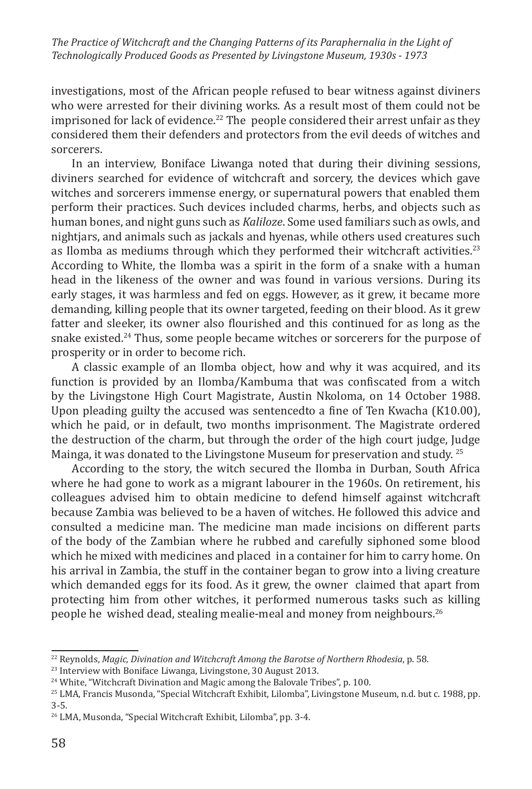investigations, most of the African people refused to bear witness against diviners who were arrested for their divining works. As a result most of them could not be imprisoned for lack of evidence.<sup>22</sup> The people considered their arrest unfair as they considered them their defenders and protectors from the evil deeds of witches and sorcerers.

In an interview, Boniface Liwanga noted that during their divining sessions, diviners searched for evidence of witchcraft and sorcery, the devices which gave witches and sorcerers immense energy, or supernatural powers that enabled them perform their practices. Such devices included charms, herbs, and objects such as human bones, and night guns such as *Kaliloze*. Some used familiars such as owls, and nightjars, and animals such as jackals and hyenas, while others used creatures such as Ilomba as mediums through which they performed their witchcraft activities.<sup>23</sup> According to White, the Ilomba was a spirit in the form of a snake with a human head in the likeness of the owner and was found in various versions. During its early stages, it was harmless and fed on eggs. However, as it grew, it became more demanding, killing people that its owner targeted, feeding on their blood. As it grew fatter and sleeker, its owner also flourished and this continued for as long as the snake existed.<sup>24</sup> Thus, some people became witches or sorcerers for the purpose of prosperity or in order to become rich.

A classic example of an Ilomba object, how and why it was acquired, and its function is provided by an Ilomba/Kambuma that was confiscated from a witch by the Livingstone High Court Magistrate, Austin Nkoloma, on 14 October 1988. Upon pleading guilty the accused was sentencedto a fine of Ten Kwacha (K10.00), which he paid, or in default, two months imprisonment. The Magistrate ordered the destruction of the charm, but through the order of the high court judge, Judge Mainga, it was donated to the Livingstone Museum for preservation and study. <sup>25</sup>

According to the story, the witch secured the Ilomba in Durban, South Africa where he had gone to work as a migrant labourer in the 1960s. On retirement, his colleagues advised him to obtain medicine to defend himself against witchcraft because Zambia was believed to be a haven of witches. He followed this advice and consulted a medicine man. The medicine man made incisions on different parts of the body of the Zambian where he rubbed and carefully siphoned some blood which he mixed with medicines and placed in a container for him to carry home. On his arrival in Zambia, the stuff in the container began to grow into a living creature which demanded eggs for its food. As it grew, the owner claimed that apart from protecting him from other witches, it performed numerous tasks such as killing people he wished dead, stealing mealie-meal and money from neighbours.26

<sup>22</sup> Reynolds, *Magic, Divination and Witchcraft Among the Barotse of Northern Rhodesia*, p. 58.

<sup>&</sup>lt;sup>23</sup> Interview with Boniface Liwanga, Livingstone, 30 August 2013.

<sup>&</sup>lt;sup>24</sup> White, "Witchcraft Divination and Magic among the Balovale Tribes", p. 100.

<sup>25</sup> LMA, Francis Musonda, "Special Witchcraft Exhibit, Lilomba", Livingstone Museum, n.d. but c. 1988, pp. 3-5.

<sup>26</sup> LMA, Musonda, "Special Witchcraft Exhibit, Lilomba", pp. 3-4.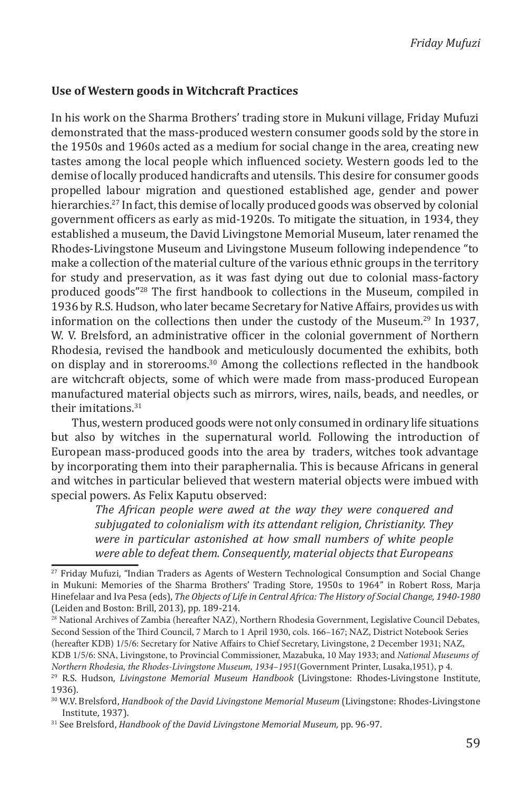### **Use of Western goods in Witchcraft Practices**

In his work on the Sharma Brothers' trading store in Mukuni village, Friday Mufuzi demonstrated that the mass-produced western consumer goods sold by the store in the 1950s and 1960s acted as a medium for social change in the area, creating new tastes among the local people which influenced society. Western goods led to the demise of locally produced handicrafts and utensils. This desire for consumer goods propelled labour migration and questioned established age, gender and power hierarchies.<sup>27</sup> In fact, this demise of locally produced goods was observed by colonial government officers as early as mid-1920s. To mitigate the situation, in 1934, they established a museum, the David Livingstone Memorial Museum, later renamed the Rhodes-Livingstone Museum and Livingstone Museum following independence "to make a collection of the material culture of the various ethnic groups in the territory for study and preservation, as it was fast dying out due to colonial mass-factory produced goods"<sup>28</sup> The first handbook to collections in the Museum, compiled in 1936 by R.S. Hudson, who later became Secretary for Native Affairs, provides us with information on the collections then under the custody of the Museum.<sup>29</sup> In 1937, W. V. Brelsford, an administrative officer in the colonial government of Northern Rhodesia, revised the handbook and meticulously documented the exhibits, both on display and in storerooms.30 Among the collections reflected in the handbook are witchcraft objects, some of which were made from mass-produced European manufactured material objects such as mirrors, wires, nails, beads, and needles, or their imitations. $31$ 

Thus, western produced goods were not only consumed in ordinary life situations but also by witches in the supernatural world. Following the introduction of European mass-produced goods into the area by traders, witches took advantage by incorporating them into their paraphernalia. This is because Africans in general and witches in particular believed that western material objects were imbued with special powers. As Felix Kaputu observed:

*The African people were awed at the way they were conquered and subjugated to colonialism with its attendant religion, Christianity. They were in particular astonished at how small numbers of white people were able to defeat them. Consequently, material objects that Europeans* 

28 National Archives of Zambia (hereafter NAZ), Northern Rhodesia Government, Legislative Council Debates, Second Session of the Third Council, 7 March to 1 April 1930, cols. 166–167; NAZ, District Notebook Series (hereafter KDB) 1/5/6: Secretary for Native Affairs to Chief Secretary, Livingstone, 2 December 1931; NAZ,

KDB 1/5/6: SNA, Livingstone, to Provincial Commissioner, Mazabuka, 10 May 1933; and *National Museums of Northern Rhodesia, the Rhodes-Livingstone Museum, 1934–1951*(Government Printer, Lusaka,1951), p 4.

<sup>27</sup> Friday Mufuzi, "Indian Traders as Agents of Western Technological Consumption and Social Change in Mukuni: Memories of the Sharma Brothers' Trading Store, 1950s to 1964" in Robert Ross, Marja Hinefelaar and Iva Pesa (eds), *The Objects of Life in Central Africa: The History of Social Change, 1940-1980* (Leiden and Boston: Brill, 2013), pp. 189-214.

<sup>29</sup> R.S. Hudson, *Livingstone Memorial Museum Handbook* (Livingstone: Rhodes-Livingstone Institute, 1936).

<sup>30</sup> W.V. Brelsford, *Handbook of the David Livingstone Memorial Museum* (Livingstone: Rhodes-Livingstone Institute, 1937).

<sup>31</sup> See Brelsford, *Handbook of the David Livingstone Memorial Museum,* pp. 96-97.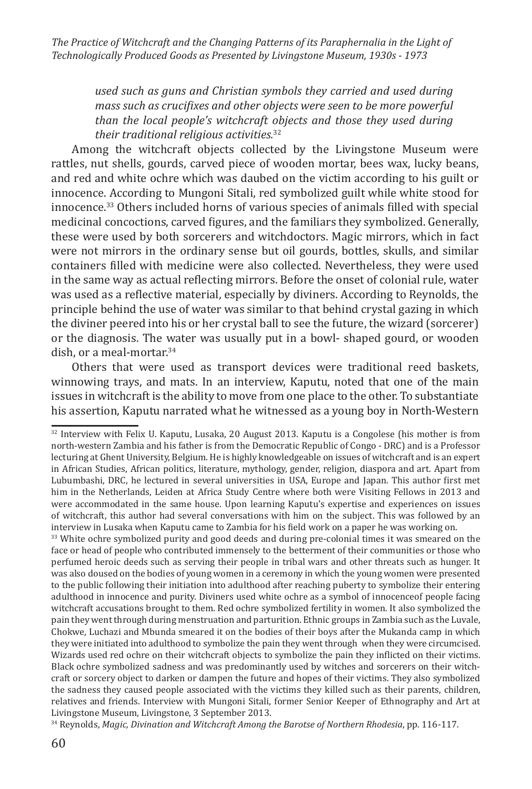> *used such as guns and Christian symbols they carried and used during mass such as crucifixes and other objects were seen to be more powerful than the local people's witchcraft objects and those they used during their traditional religious activities.*<sup>32</sup>

Among the witchcraft objects collected by the Livingstone Museum were rattles, nut shells, gourds, carved piece of wooden mortar, bees wax, lucky beans, and red and white ochre which was daubed on the victim according to his guilt or innocence. According to Mungoni Sitali, red symbolized guilt while white stood for innocence.33 Others included horns of various species of animals filled with special medicinal concoctions, carved figures, and the familiars they symbolized. Generally, these were used by both sorcerers and witchdoctors. Magic mirrors, which in fact were not mirrors in the ordinary sense but oil gourds, bottles, skulls, and similar containers filled with medicine were also collected. Nevertheless, they were used in the same way as actual reflecting mirrors. Before the onset of colonial rule, water was used as a reflective material, especially by diviners. According to Reynolds, the principle behind the use of water was similar to that behind crystal gazing in which the diviner peered into his or her crystal ball to see the future, the wizard (sorcerer) or the diagnosis. The water was usually put in a bowl- shaped gourd, or wooden dish, or a meal-mortar.<sup>34</sup>

Others that were used as transport devices were traditional reed baskets, winnowing trays, and mats. In an interview, Kaputu, noted that one of the main issues in witchcraft is the ability to move from one place to the other. To substantiate his assertion, Kaputu narrated what he witnessed as a young boy in North-Western

<sup>33</sup> White ochre symbolized purity and good deeds and during pre-colonial times it was smeared on the face or head of people who contributed immensely to the betterment of their communities or those who perfumed heroic deeds such as serving their people in tribal wars and other threats such as hunger. It was also doused on the bodies of young women in a ceremony in which the young women were presented to the public following their initiation into adulthood after reaching puberty to symbolize their entering adulthood in innocence and purity. Diviners used white ochre as a symbol of innocenceof people facing witchcraft accusations brought to them. Red ochre symbolized fertility in women. It also symbolized the pain they went through during menstruation and parturition. Ethnic groups in Zambia such as the Luvale, Chokwe, Luchazi and Mbunda smeared it on the bodies of their boys after the Mukanda camp in which they were initiated into adulthood to symbolize the pain they went through when they were circumcised. Wizards used red ochre on their witchcraft objects to symbolize the pain they inflicted on their victims. Black ochre symbolized sadness and was predominantly used by witches and sorcerers on their witchcraft or sorcery object to darken or dampen the future and hopes of their victims. They also symbolized the sadness they caused people associated with the victims they killed such as their parents, children, relatives and friends. Interview with Mungoni Sitali, former Senior Keeper of Ethnography and Art at Livingstone Museum, Livingstone, 3 September 2013.

34 Reynolds, *Magic, Divination and Witchcraft Among the Barotse of Northern Rhodesia*, pp. 116-117.

<sup>32</sup> Interview with Felix U. Kaputu, Lusaka, 20 August 2013. Kaputu is a Congolese (his mother is from north-western Zambia and his father is from the Democratic Republic of Congo - DRC) and is a Professor lecturing at Ghent University, Belgium. He is highly knowledgeable on issues of witchcraft and is an expert in African Studies, African politics, literature, mythology, gender, religion, diaspora and art. Apart from Lubumbashi, DRC, he lectured in several universities in USA, Europe and Japan. This author first met him in the Netherlands, Leiden at Africa Study Centre where both were Visiting Fellows in 2013 and were accommodated in the same house. Upon learning Kaputu's expertise and experiences on issues of witchcraft, this author had several conversations with him on the subject. This was followed by an interview in Lusaka when Kaputu came to Zambia for his field work on a paper he was working on.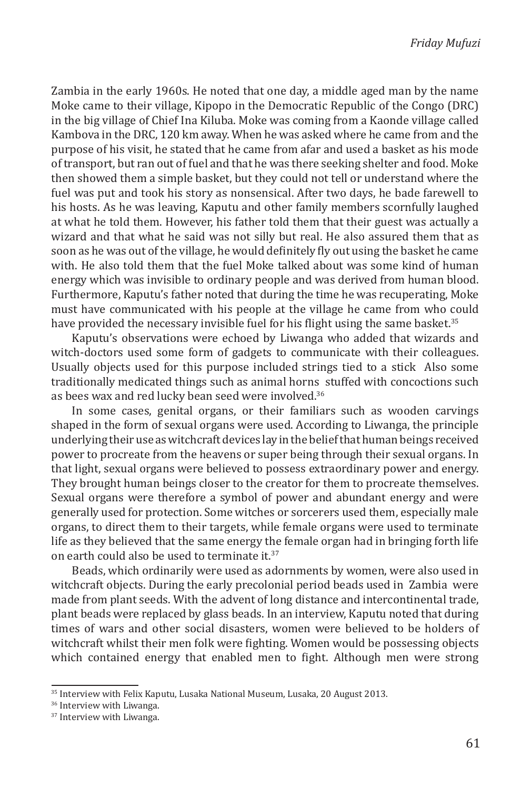Zambia in the early 1960s. He noted that one day, a middle aged man by the name Moke came to their village, Kipopo in the Democratic Republic of the Congo (DRC) in the big village of Chief Ina Kiluba. Moke was coming from a Kaonde village called Kambova in the DRC, 120 km away. When he was asked where he came from and the purpose of his visit, he stated that he came from afar and used a basket as his mode of transport, but ran out of fuel and that he was there seeking shelter and food. Moke then showed them a simple basket, but they could not tell or understand where the fuel was put and took his story as nonsensical. After two days, he bade farewell to his hosts. As he was leaving, Kaputu and other family members scornfully laughed at what he told them. However, his father told them that their guest was actually a wizard and that what he said was not silly but real. He also assured them that as soon as he was out of the village, he would definitely fly out using the basket he came with. He also told them that the fuel Moke talked about was some kind of human energy which was invisible to ordinary people and was derived from human blood. Furthermore, Kaputu's father noted that during the time he was recuperating, Moke must have communicated with his people at the village he came from who could have provided the necessary invisible fuel for his flight using the same basket.<sup>35</sup>

Kaputu's observations were echoed by Liwanga who added that wizards and witch-doctors used some form of gadgets to communicate with their colleagues. Usually objects used for this purpose included strings tied to a stick Also some traditionally medicated things such as animal horns stuffed with concoctions such as bees wax and red lucky bean seed were involved.<sup>36</sup>

In some cases, genital organs, or their familiars such as wooden carvings shaped in the form of sexual organs were used. According to Liwanga, the principle underlying their use as witchcraft devices lay in the belief that human beings received power to procreate from the heavens or super being through their sexual organs. In that light, sexual organs were believed to possess extraordinary power and energy. They brought human beings closer to the creator for them to procreate themselves. Sexual organs were therefore a symbol of power and abundant energy and were generally used for protection. Some witches or sorcerers used them, especially male organs, to direct them to their targets, while female organs were used to terminate life as they believed that the same energy the female organ had in bringing forth life on earth could also be used to terminate it.<sup>37</sup>

Beads, which ordinarily were used as adornments by women, were also used in witchcraft objects. During the early precolonial period beads used in Zambia were made from plant seeds. With the advent of long distance and intercontinental trade, plant beads were replaced by glass beads. In an interview, Kaputu noted that during times of wars and other social disasters, women were believed to be holders of witchcraft whilst their men folk were fighting. Women would be possessing objects which contained energy that enabled men to fight. Although men were strong

<sup>&</sup>lt;sup>35</sup> Interview with Felix Kaputu, Lusaka National Museum, Lusaka, 20 August 2013.

<sup>36</sup> Interview with Liwanga.

<sup>37</sup> Interview with Liwanga.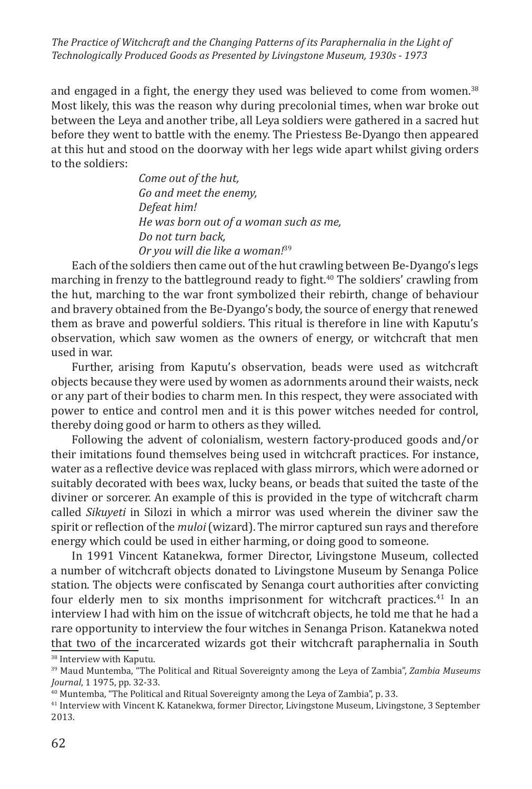and engaged in a fight, the energy they used was believed to come from women.<sup>38</sup> Most likely, this was the reason why during precolonial times, when war broke out between the Leya and another tribe, all Leya soldiers were gathered in a sacred hut before they went to battle with the enemy. The Priestess Be-Dyango then appeared at this hut and stood on the doorway with her legs wide apart whilst giving orders to the soldiers:

> *Come out of the hut, Go and meet the enemy, Defeat him! He was born out of a woman such as me, Do not turn back, Or you will die like a woman!*<sup>39</sup>

Each of the soldiers then came out of the hut crawling between Be-Dyango's legs marching in frenzy to the battleground ready to fight.40 The soldiers' crawling from the hut, marching to the war front symbolized their rebirth, change of behaviour and bravery obtained from the Be-Dyango's body, the source of energy that renewed them as brave and powerful soldiers. This ritual is therefore in line with Kaputu's observation, which saw women as the owners of energy, or witchcraft that men used in war.

Further, arising from Kaputu's observation, beads were used as witchcraft objects because they were used by women as adornments around their waists, neck or any part of their bodies to charm men. In this respect, they were associated with power to entice and control men and it is this power witches needed for control, thereby doing good or harm to others as they willed.

Following the advent of colonialism, western factory-produced goods and/or their imitations found themselves being used in witchcraft practices. For instance, water as a reflective device was replaced with glass mirrors, which were adorned or suitably decorated with bees wax, lucky beans, or beads that suited the taste of the diviner or sorcerer. An example of this is provided in the type of witchcraft charm called *Sikuyeti* in Silozi in which a mirror was used wherein the diviner saw the spirit or reflection of the *muloi* (wizard). The mirror captured sun rays and therefore energy which could be used in either harming, or doing good to someone.

In 1991 Vincent Katanekwa, former Director, Livingstone Museum, collected a number of witchcraft objects donated to Livingstone Museum by Senanga Police station. The objects were confiscated by Senanga court authorities after convicting four elderly men to six months imprisonment for witchcraft practices.<sup>41</sup> In an interview I had with him on the issue of witchcraft objects, he told me that he had a rare opportunity to interview the four witches in Senanga Prison. Katanekwa noted that two of the incarcerated wizards got their witchcraft paraphernalia in South

<sup>&</sup>lt;sup>38</sup> Interview with Kaputu.

<sup>39</sup> Maud Muntemba, "The Political and Ritual Sovereignty among the Leya of Zambia", *Zambia Museums Journal*, 1 1975, pp. 32-33.

<sup>&</sup>lt;sup>40</sup> Muntemba, "The Political and Ritual Sovereignty among the Leya of Zambia", p. 33.

<sup>41</sup> Interview with Vincent K. Katanekwa, former Director, Livingstone Museum, Livingstone, 3 September 2013.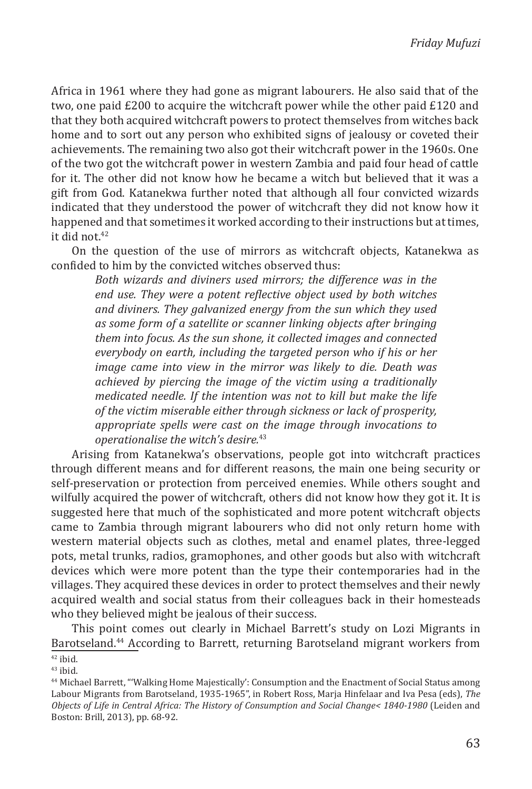Africa in 1961 where they had gone as migrant labourers. He also said that of the two, one paid £200 to acquire the witchcraft power while the other paid £120 and that they both acquired witchcraft powers to protect themselves from witches back home and to sort out any person who exhibited signs of jealousy or coveted their achievements. The remaining two also got their witchcraft power in the 1960s. One of the two got the witchcraft power in western Zambia and paid four head of cattle for it. The other did not know how he became a witch but believed that it was a gift from God. Katanekwa further noted that although all four convicted wizards indicated that they understood the power of witchcraft they did not know how it happened and that sometimes it worked according to their instructions but at times, it did not.<sup>42</sup>

On the question of the use of mirrors as witchcraft objects, Katanekwa as confided to him by the convicted witches observed thus:

*Both wizards and diviners used mirrors; the difference was in the end use. They were a potent reflective object used by both witches and diviners. They galvanized energy from the sun which they used as some form of a satellite or scanner linking objects after bringing them into focus. As the sun shone, it collected images and connected everybody on earth, including the targeted person who if his or her image came into view in the mirror was likely to die. Death was achieved by piercing the image of the victim using a traditionally medicated needle. If the intention was not to kill but make the life of the victim miserable either through sickness or lack of prosperity, appropriate spells were cast on the image through invocations to operationalise the witch's desire.*<sup>43</sup>

Arising from Katanekwa's observations, people got into witchcraft practices through different means and for different reasons, the main one being security or self-preservation or protection from perceived enemies. While others sought and wilfully acquired the power of witchcraft, others did not know how they got it. It is suggested here that much of the sophisticated and more potent witchcraft objects came to Zambia through migrant labourers who did not only return home with western material objects such as clothes, metal and enamel plates, three-legged pots, metal trunks, radios, gramophones, and other goods but also with witchcraft devices which were more potent than the type their contemporaries had in the villages. They acquired these devices in order to protect themselves and their newly acquired wealth and social status from their colleagues back in their homesteads who they believed might be jealous of their success.

This point comes out clearly in Michael Barrett's study on Lozi Migrants in Barotseland.<sup>44</sup> According to Barrett, returning Barotseland migrant workers from  $\frac{u_{2} - u_{2}}{2}$  ibid.

 $43$  ibid.

<sup>44</sup> Michael Barrett, "'Walking Home Majestically': Consumption and the Enactment of Social Status among Labour Migrants from Barotseland, 1935-1965", in Robert Ross, Marja Hinfelaar and Iva Pesa (eds), *The Objects of Life in Central Africa: The History of Consumption and Social Change< 1840-1980* (Leiden and Boston: Brill, 2013), pp. 68-92.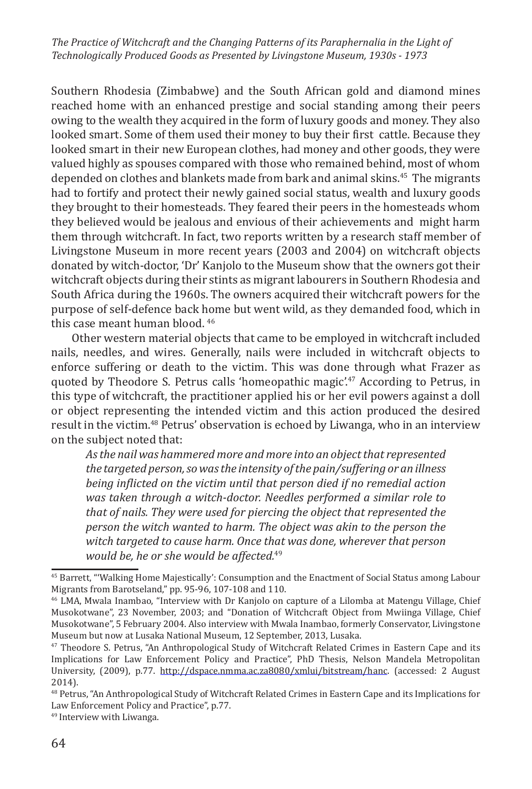Southern Rhodesia (Zimbabwe) and the South African gold and diamond mines reached home with an enhanced prestige and social standing among their peers owing to the wealth they acquired in the form of luxury goods and money. They also looked smart. Some of them used their money to buy their first cattle. Because they looked smart in their new European clothes, had money and other goods, they were valued highly as spouses compared with those who remained behind, most of whom depended on clothes and blankets made from bark and animal skins.<sup>45</sup> The migrants had to fortify and protect their newly gained social status, wealth and luxury goods they brought to their homesteads. They feared their peers in the homesteads whom they believed would be jealous and envious of their achievements and might harm them through witchcraft. In fact, two reports written by a research staff member of Livingstone Museum in more recent years (2003 and 2004) on witchcraft objects donated by witch-doctor, 'Dr' Kanjolo to the Museum show that the owners got their witchcraft objects during their stints as migrant labourers in Southern Rhodesia and South Africa during the 1960s. The owners acquired their witchcraft powers for the purpose of self-defence back home but went wild, as they demanded food, which in this case meant human blood. <sup>46</sup>

Other western material objects that came to be employed in witchcraft included nails, needles, and wires. Generally, nails were included in witchcraft objects to enforce suffering or death to the victim. This was done through what Frazer as quoted by Theodore S. Petrus calls 'homeopathic magic'.<sup>47</sup> According to Petrus, in this type of witchcraft, the practitioner applied his or her evil powers against a doll or object representing the intended victim and this action produced the desired result in the victim.48 Petrus' observation is echoed by Liwanga, who in an interview on the subject noted that:

*As the nail was hammered more and more into an object that represented the targeted person, so was the intensity of the pain/suffering or an illness being inflicted on the victim until that person died if no remedial action was taken through a witch-doctor. Needles performed a similar role to that of nails. They were used for piercing the object that represented the person the witch wanted to harm. The object was akin to the person the witch targeted to cause harm. Once that was done, wherever that person would be, he or she would be affected.*<sup>49</sup>

<sup>45</sup> Barrett, "'Walking Home Majestically': Consumption and the Enactment of Social Status among Labour Migrants from Barotseland," pp. 95-96, 107-108 and 110.

<sup>46</sup> LMA, Mwala Inambao, "Interview with Dr Kanjolo on capture of a Lilomba at Matengu Village, Chief Musokotwane", 23 November, 2003; and "Donation of Witchcraft Object from Mwiinga Village, Chief Musokotwane", 5 February 2004. Also interview with Mwala Inambao, formerly Conservator, Livingstone Museum but now at Lusaka National Museum, 12 September, 2013, Lusaka.

<sup>47</sup> Theodore S. Petrus, "An Anthropological Study of Witchcraft Related Crimes in Eastern Cape and its Implications for Law Enforcement Policy and Practice", PhD Thesis, Nelson Mandela Metropolitan University, (2009), p.77. http://dspace.nmma.ac.za8080/xmlui/bitstream/hanc. (accessed: 2 August 2014).

<sup>48</sup> Petrus, "An Anthropological Study of Witchcraft Related Crimes in Eastern Cape and its Implications for Law Enforcement Policy and Practice", p.77.

<sup>49</sup> Interview with Liwanga.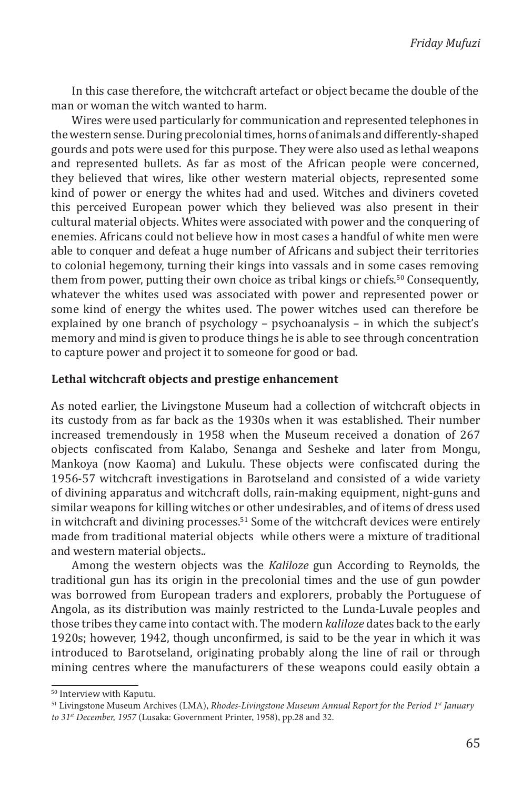In this case therefore, the witchcraft artefact or object became the double of the man or woman the witch wanted to harm.

Wires were used particularly for communication and represented telephones in the western sense. During precolonial times, horns of animals and differently-shaped gourds and pots were used for this purpose. They were also used as lethal weapons and represented bullets. As far as most of the African people were concerned, they believed that wires, like other western material objects, represented some kind of power or energy the whites had and used. Witches and diviners coveted this perceived European power which they believed was also present in their cultural material objects. Whites were associated with power and the conquering of enemies. Africans could not believe how in most cases a handful of white men were able to conquer and defeat a huge number of Africans and subject their territories to colonial hegemony, turning their kings into vassals and in some cases removing them from power, putting their own choice as tribal kings or chiefs.<sup>50</sup> Consequently, whatever the whites used was associated with power and represented power or some kind of energy the whites used. The power witches used can therefore be explained by one branch of psychology – psychoanalysis – in which the subject's memory and mind is given to produce things he is able to see through concentration to capture power and project it to someone for good or bad.

#### **Lethal witchcraft objects and prestige enhancement**

As noted earlier, the Livingstone Museum had a collection of witchcraft objects in its custody from as far back as the 1930s when it was established. Their number increased tremendously in 1958 when the Museum received a donation of 267 objects confiscated from Kalabo, Senanga and Sesheke and later from Mongu, Mankoya (now Kaoma) and Lukulu. These objects were confiscated during the 1956-57 witchcraft investigations in Barotseland and consisted of a wide variety of divining apparatus and witchcraft dolls, rain-making equipment, night-guns and similar weapons for killing witches or other undesirables, and of items of dress used in witchcraft and divining processes.<sup>51</sup> Some of the witchcraft devices were entirely made from traditional material objects while others were a mixture of traditional and western material objects..

Among the western objects was the *Kaliloze* gun According to Reynolds, the traditional gun has its origin in the precolonial times and the use of gun powder was borrowed from European traders and explorers, probably the Portuguese of Angola, as its distribution was mainly restricted to the Lunda-Luvale peoples and those tribes they came into contact with. The modern *kaliloze* dates back to the early 1920s; however, 1942, though unconfirmed, is said to be the year in which it was introduced to Barotseland, originating probably along the line of rail or through mining centres where the manufacturers of these weapons could easily obtain a

<sup>50</sup> Interview with Kaputu.

<sup>&</sup>lt;sup>51</sup> Livingstone Museum Archives (LMA), *Rhodes-Livingstone Museum Annual Report for the Period 1st January to 31st December, 1957* (Lusaka: Government Printer, 1958), pp.28 and 32.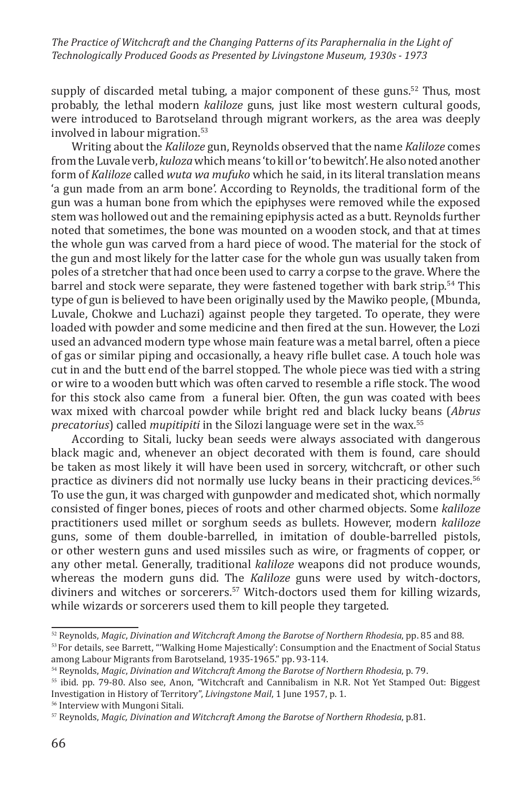supply of discarded metal tubing, a major component of these guns.<sup>52</sup> Thus, most probably, the lethal modern *kaliloze* guns, just like most western cultural goods, were introduced to Barotseland through migrant workers, as the area was deeply involved in labour migration.<sup>53</sup>

Writing about the *Kaliloze* gun, Reynolds observed that the name *Kaliloze* comes from the Luvale verb, *kuloza* which means 'to kill or 'to bewitch'. He also noted another form of *Kaliloze* called *wuta wa mufuko* which he said, in its literal translation means 'a gun made from an arm bone'. According to Reynolds, the traditional form of the gun was a human bone from which the epiphyses were removed while the exposed stem was hollowed out and the remaining epiphysis acted as a butt. Reynolds further noted that sometimes, the bone was mounted on a wooden stock, and that at times the whole gun was carved from a hard piece of wood. The material for the stock of the gun and most likely for the latter case for the whole gun was usually taken from poles of a stretcher that had once been used to carry a corpse to the grave. Where the barrel and stock were separate, they were fastened together with bark strip.<sup>54</sup> This type of gun is believed to have been originally used by the Mawiko people, (Mbunda, Luvale, Chokwe and Luchazi) against people they targeted. To operate, they were loaded with powder and some medicine and then fired at the sun. However, the Lozi used an advanced modern type whose main feature was a metal barrel, often a piece of gas or similar piping and occasionally, a heavy rifle bullet case. A touch hole was cut in and the butt end of the barrel stopped. The whole piece was tied with a string or wire to a wooden butt which was often carved to resemble a rifle stock. The wood for this stock also came from a funeral bier. Often, the gun was coated with bees wax mixed with charcoal powder while bright red and black lucky beans (*Abrus precatorius*) called *mupitipiti* in the Silozi language were set in the wax.<sup>55</sup>

According to Sitali, lucky bean seeds were always associated with dangerous black magic and, whenever an object decorated with them is found, care should be taken as most likely it will have been used in sorcery, witchcraft, or other such practice as diviners did not normally use lucky beans in their practicing devices.<sup>56</sup> To use the gun, it was charged with gunpowder and medicated shot, which normally consisted of finger bones, pieces of roots and other charmed objects. Some *kaliloze* practitioners used millet or sorghum seeds as bullets. However, modern *kaliloze* guns, some of them double-barrelled, in imitation of double-barrelled pistols, or other western guns and used missiles such as wire, or fragments of copper, or any other metal. Generally, traditional *kaliloze* weapons did not produce wounds, whereas the modern guns did. The *Kaliloze* guns were used by witch-doctors, diviners and witches or sorcerers.<sup>57</sup> Witch-doctors used them for killing wizards, while wizards or sorcerers used them to kill people they targeted.

<sup>&</sup>lt;sup>52</sup> Reynolds, *Magic, Divination and Witchcraft Among the Barotse of Northern Rhodesia, pp. 85 and 88.<br><sup>53</sup> For details, see Barrett, "'Walking Home Majestically': Consumption and the Enactment of Social Status* 

among Labour Migrants from Barotseland, 1935-1965." pp. 93-114.<br><sup>54</sup> Reynolds, *Magic, Divination and Witchcraft Among the Barotse of Northern Rhodesia*, p. 79.

<sup>&</sup>lt;sup>55</sup> ibid. pp. 79-80. Also see, Anon, "Witchcraft and Cannibalism in N.R. Not Yet Stamped Out: Biggest Investigation in History of Territory", *Livingstone Mail*, 1 June 1957, p. 1. <sup>56</sup> Interview with Mungoni Sitali.

<sup>57</sup> Reynolds, *Magic, Divination and Witchcraft Among the Barotse of Northern Rhodesia*, p.81.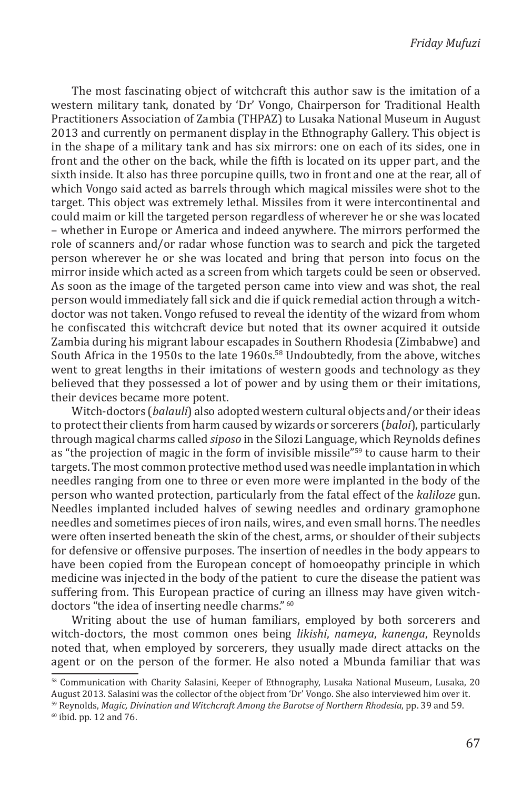The most fascinating object of witchcraft this author saw is the imitation of a western military tank, donated by 'Dr' Vongo, Chairperson for Traditional Health Practitioners Association of Zambia (THPAZ) to Lusaka National Museum in August 2013 and currently on permanent display in the Ethnography Gallery. This object is in the shape of a military tank and has six mirrors: one on each of its sides, one in front and the other on the back, while the fifth is located on its upper part, and the sixth inside. It also has three porcupine quills, two in front and one at the rear, all of which Vongo said acted as barrels through which magical missiles were shot to the target. This object was extremely lethal. Missiles from it were intercontinental and could maim or kill the targeted person regardless of wherever he or she was located – whether in Europe or America and indeed anywhere. The mirrors performed the role of scanners and/or radar whose function was to search and pick the targeted person wherever he or she was located and bring that person into focus on the mirror inside which acted as a screen from which targets could be seen or observed. As soon as the image of the targeted person came into view and was shot, the real person would immediately fall sick and die if quick remedial action through a witchdoctor was not taken. Vongo refused to reveal the identity of the wizard from whom he confiscated this witchcraft device but noted that its owner acquired it outside Zambia during his migrant labour escapades in Southern Rhodesia (Zimbabwe) and South Africa in the 1950s to the late 1960s.58 Undoubtedly, from the above, witches went to great lengths in their imitations of western goods and technology as they believed that they possessed a lot of power and by using them or their imitations, their devices became more potent.

Witch-doctors (*balauli*) also adopted western cultural objects and/or their ideas to protect their clients from harm caused by wizards or sorcerers (*baloi*), particularly through magical charms called *siposo* in the Silozi Language, which Reynolds defines as "the projection of magic in the form of invisible missile"59 to cause harm to their targets. The most common protective method used was needle implantation in which needles ranging from one to three or even more were implanted in the body of the person who wanted protection, particularly from the fatal effect of the *kaliloze* gun. Needles implanted included halves of sewing needles and ordinary gramophone needles and sometimes pieces of iron nails, wires, and even small horns. The needles were often inserted beneath the skin of the chest, arms, or shoulder of their subjects for defensive or offensive purposes. The insertion of needles in the body appears to have been copied from the European concept of homoeopathy principle in which medicine was injected in the body of the patient to cure the disease the patient was suffering from. This European practice of curing an illness may have given witchdoctors "the idea of inserting needle charms." <sup>60</sup>

Writing about the use of human familiars, employed by both sorcerers and witch-doctors, the most common ones being *likishi*, *nameya*, *kanenga*, Reynolds noted that, when employed by sorcerers, they usually made direct attacks on the agent or on the person of the former. He also noted a Mbunda familiar that was

<sup>58</sup> Communication with Charity Salasini, Keeper of Ethnography, Lusaka National Museum, Lusaka, 20 August 2013. Salasini was the collector of the object from 'Dr' Vongo. She also interviewed him over it.

<sup>&</sup>lt;sup>59</sup> Reynolds, *Magic, Divination and Witchcraft Among the Barotse of Northern Rhodesia, pp. 39 and 59.*<br><sup>60</sup> ibid. pp. 12 and 76.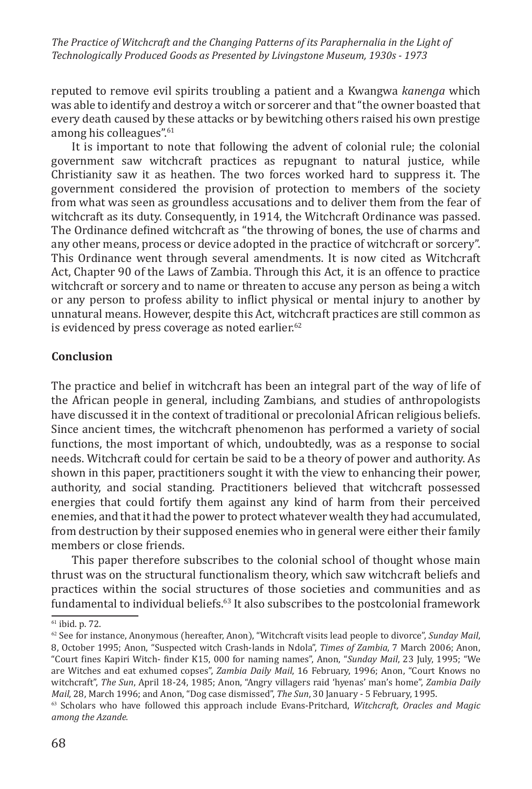reputed to remove evil spirits troubling a patient and a Kwangwa *kanenga* which was able to identify and destroy a witch or sorcerer and that "the owner boasted that every death caused by these attacks or by bewitching others raised his own prestige among his colleagues".<sup>61</sup>

It is important to note that following the advent of colonial rule; the colonial government saw witchcraft practices as repugnant to natural justice, while Christianity saw it as heathen. The two forces worked hard to suppress it. The government considered the provision of protection to members of the society from what was seen as groundless accusations and to deliver them from the fear of witchcraft as its duty. Consequently, in 1914, the Witchcraft Ordinance was passed. The Ordinance defined witchcraft as "the throwing of bones, the use of charms and any other means, process or device adopted in the practice of witchcraft or sorcery". This Ordinance went through several amendments. It is now cited as Witchcraft Act, Chapter 90 of the Laws of Zambia. Through this Act, it is an offence to practice witchcraft or sorcery and to name or threaten to accuse any person as being a witch or any person to profess ability to inflict physical or mental injury to another by unnatural means. However, despite this Act, witchcraft practices are still common as is evidenced by press coverage as noted earlier. $62$ 

#### **Conclusion**

The practice and belief in witchcraft has been an integral part of the way of life of the African people in general, including Zambians, and studies of anthropologists have discussed it in the context of traditional or precolonial African religious beliefs. Since ancient times, the witchcraft phenomenon has performed a variety of social functions, the most important of which, undoubtedly, was as a response to social needs. Witchcraft could for certain be said to be a theory of power and authority. As shown in this paper, practitioners sought it with the view to enhancing their power, authority, and social standing. Practitioners believed that witchcraft possessed energies that could fortify them against any kind of harm from their perceived enemies, and that it had the power to protect whatever wealth they had accumulated, from destruction by their supposed enemies who in general were either their family members or close friends.

This paper therefore subscribes to the colonial school of thought whose main thrust was on the structural functionalism theory, which saw witchcraft beliefs and practices within the social structures of those societies and communities and as fundamental to individual beliefs.<sup>63</sup> It also subscribes to the postcolonial framework

<sup>61</sup> ibid. p. 72.

<sup>62</sup> See for instance, Anonymous (hereafter, Anon), "Witchcraft visits lead people to divorce", *Sunday Mail*, 8, October 1995; Anon, "Suspected witch Crash-lands in Ndola", *Times of Zambia*, 7 March 2006; Anon, "Court fines Kapiri Witch- finder K15, 000 for naming names", Anon, "*Sunday Mail*, 23 July, 1995; "We are Witches and eat exhumed copses", *Zambia Daily Mail*, 16 February, 1996; Anon, "Court Knows no witchcraft", *The Sun*, April 18-24, 1985; Anon, "Angry villagers raid 'hyenas' man's home", *Zambia Daily* 

<sup>&</sup>lt;sup>63</sup> Scholars who have followed this approach include Evans-Pritchard, *Witchcraft, Oracles and Magic among the Azande.*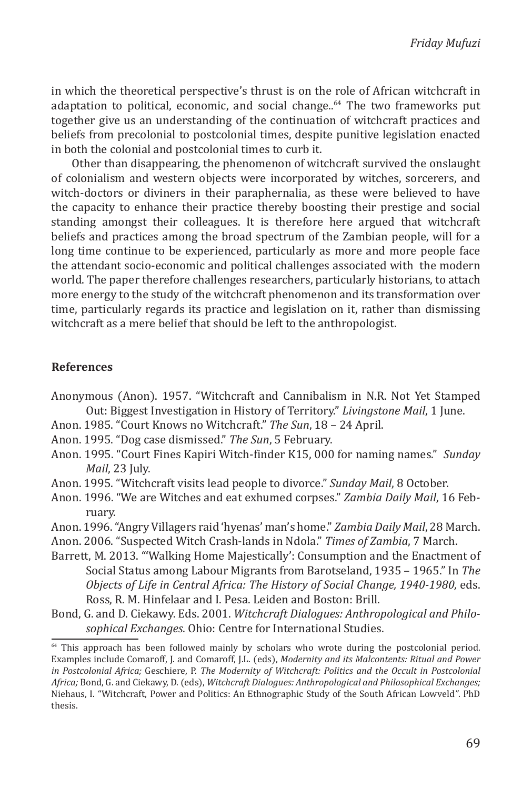in which the theoretical perspective's thrust is on the role of African witchcraft in adaptation to political, economic, and social change.. $64$  The two frameworks put together give us an understanding of the continuation of witchcraft practices and beliefs from precolonial to postcolonial times, despite punitive legislation enacted in both the colonial and postcolonial times to curb it.

Other than disappearing, the phenomenon of witchcraft survived the onslaught of colonialism and western objects were incorporated by witches, sorcerers, and witch-doctors or diviners in their paraphernalia, as these were believed to have the capacity to enhance their practice thereby boosting their prestige and social standing amongst their colleagues. It is therefore here argued that witchcraft beliefs and practices among the broad spectrum of the Zambian people, will for a long time continue to be experienced, particularly as more and more people face the attendant socio-economic and political challenges associated with the modern world. The paper therefore challenges researchers, particularly historians, to attach more energy to the study of the witchcraft phenomenon and its transformation over time, particularly regards its practice and legislation on it, rather than dismissing witchcraft as a mere belief that should be left to the anthropologist.

#### **References**

- Anonymous (Anon). 1957. "Witchcraft and Cannibalism in N.R. Not Yet Stamped Out: Biggest Investigation in History of Territory." *Livingstone Mail*, 1 June.
- Anon. 1985. "Court Knows no Witchcraft." *The Sun*, 18 24 April.
- Anon. 1995. "Dog case dismissed." *The Sun*, 5 February.
- Anon. 1995. "Court Fines Kapiri Witch-finder K15, 000 for naming names." *Sunday Mail*, 23 July.
- Anon. 1995. "Witchcraft visits lead people to divorce." *Sunday Mail*, 8 October.
- Anon. 1996. "We are Witches and eat exhumed corpses." *Zambia Daily Mail*, 16 February.
- Anon. 1996. "Angry Villagers raid 'hyenas' man's home." *Zambia Daily Mail*, 28 March.
- Anon. 2006. "Suspected Witch Crash-lands in Ndola." *Times of Zambia*, 7 March.
- Barrett, M. 2013. "'Walking Home Majestically': Consumption and the Enactment of Social Status among Labour Migrants from Barotseland, 1935 – 1965." In *The Objects of Life in Central Africa: The History of Social Change, 1940-1980,* eds. Ross, R. M. Hinfelaar and I. Pesa. Leiden and Boston: Brill.
- Bond, G. and D. Ciekawy. Eds. 2001. *Witchcraft Dialogues: Anthropological and Philosophical Exchanges*. Ohio: Centre for International Studies.

 $64$  This approach has been followed mainly by scholars who wrote during the postcolonial period. Examples include Comaroff, J. and Comaroff, J.L. (eds), *Modernity and its Malcontents: Ritual and Power in Postcolonial Africa;* Geschiere, P. *The Modernity of Witchcraft: Politics and the Occult in Postcolonial Africa;* Bond, G. and Ciekawy, D. (eds), *Witchcraft Dialogues: Anthropological and Philosophical Exchanges;* Niehaus, I. "Witchcraft, Power and Politics: An Ethnographic Study of the South African Lowveld*"*. PhD thesis.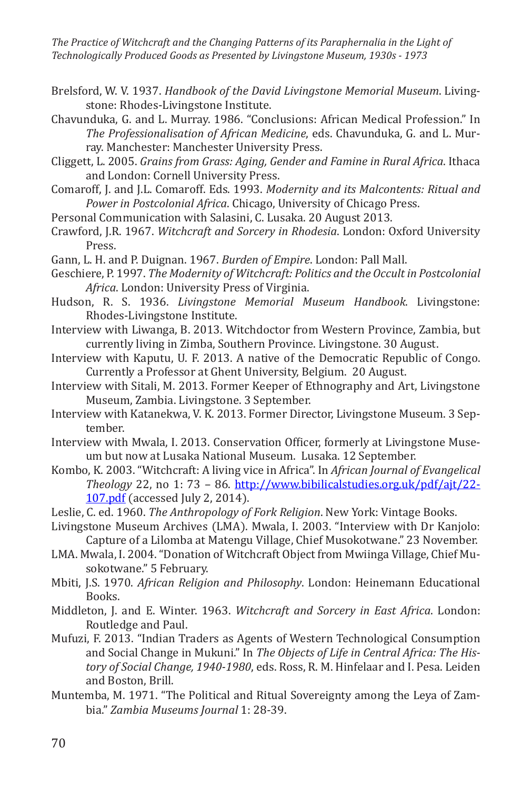Brelsford, W. V. 1937. *Handbook of the David Livingstone Memorial Museum*. Livingstone: Rhodes-Livingstone Institute.

Chavunduka, G. and L. Murray. 1986. "Conclusions: African Medical Profession." In *The Professionalisation of African Medicine*, eds. Chavunduka, G. and L. Murray. Manchester: Manchester University Press.

- Cliggett, L. 2005. *Grains from Grass: Aging, Gender and Famine in Rural Africa*. Ithaca and London: Cornell University Press.
- Comaroff, J. and J.L. Comaroff. Eds. 1993. *Modernity and its Malcontents: Ritual and Power in Postcolonial Africa*. Chicago, University of Chicago Press.
- Personal Communication with Salasini, C. Lusaka. 20 August 2013.
- Crawford, J.R. 1967. *Witchcraft and Sorcery in Rhodesia*. London: Oxford University Press.
- Gann, L. H. and P. Duignan. 1967. *Burden of Empire*. London: Pall Mall.
- Geschiere, P. 1997. *The Modernity of Witchcraft: Politics and the Occult in Postcolonial Africa*. London: University Press of Virginia.
- Hudson, R. S. 1936. *Livingstone Memorial Museum Handbook*. Livingstone: Rhodes-Livingstone Institute.
- Interview with Liwanga, B. 2013. Witchdoctor from Western Province, Zambia, but currently living in Zimba, Southern Province. Livingstone. 30 August.
- Interview with Kaputu, U. F. 2013. A native of the Democratic Republic of Congo. Currently a Professor at Ghent University, Belgium. 20 August.
- Interview with Sitali, M. 2013. Former Keeper of Ethnography and Art, Livingstone Museum, Zambia. Livingstone. 3 September.
- Interview with Katanekwa, V. K. 2013. Former Director, Livingstone Museum. 3 September.
- Interview with Mwala, I. 2013. Conservation Officer, formerly at Livingstone Museum but now at Lusaka National Museum. Lusaka. 12 September.
- Kombo, K. 2003. "Witchcraft: A living vice in Africa". In *African Journal of Evangelical Theology* 22, no 1: 73 – 86. http://www.bibilicalstudies.org.uk/pdf/ajt/22- 107.pdf (accessed July 2, 2014).
- Leslie, C. ed. 1960. *The Anthropology of Fork Religion*. New York: Vintage Books.
- Livingstone Museum Archives (LMA). Mwala, I. 2003. "Interview with Dr Kanjolo: Capture of a Lilomba at Matengu Village, Chief Musokotwane." 23 November.
- LMA. Mwala, I. 2004. "Donation of Witchcraft Object from Mwiinga Village, Chief Musokotwane." 5 February.
- Mbiti, J.S. 1970. *African Religion and Philosophy*. London: Heinemann Educational Books.
- Middleton, J. and E. Winter. 1963. *Witchcraft and Sorcery in East Africa*. London: Routledge and Paul.
- Mufuzi, F. 2013. "Indian Traders as Agents of Western Technological Consumption and Social Change in Mukuni." In *The Objects of Life in Central Africa: The History of Social Change, 1940-1980*, eds. Ross, R. M. Hinfelaar and I. Pesa. Leiden and Boston, Brill.
- Muntemba, M. 1971. "The Political and Ritual Sovereignty among the Leya of Zambia." *Zambia Museums Journal* 1: 28-39.